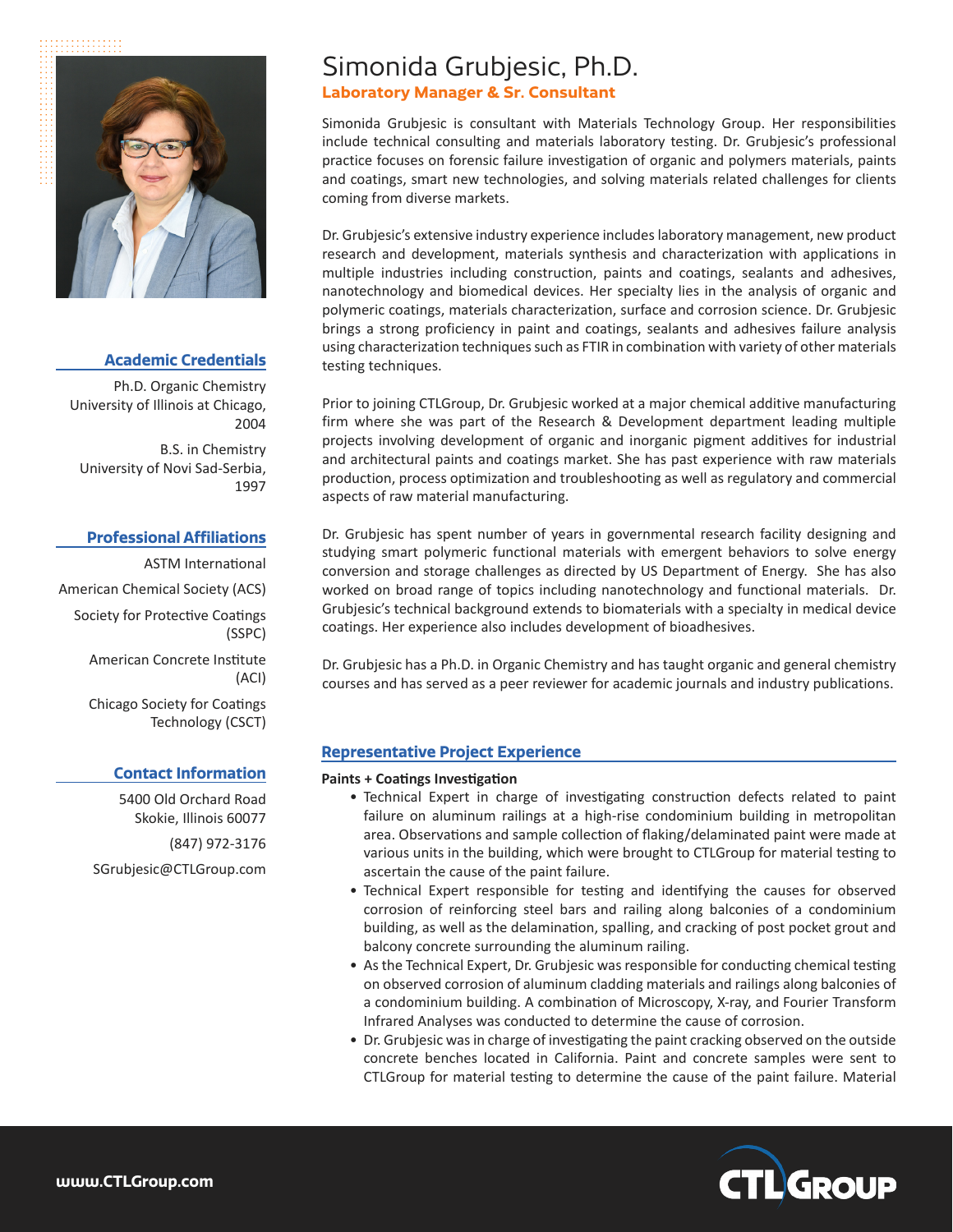::::::::::::



## **Academic Credentials**

Ph.D. Organic Chemistry University of Illinois at Chicago, 2004

B.S. in Chemistry University of Novi Sad-Serbia, 1997

## **Professional Affiliations**

ASTM International American Chemical Society (ACS) Society for Protective Coatings (SSPC) American Concrete Institute (ACI) Chicago Society for Coatings Technology (CSCT)

# **Contact Information**

5400 Old Orchard Road Skokie, Illinois 60077 (847) 972-3176 SGrubjesic@CTLGroup.com

# Simonida Grubjesic, Ph.D.

# **Laboratory Manager & Sr. Consultant**

Simonida Grubjesic is consultant with Materials Technology Group. Her responsibilities include technical consulting and materials laboratory testing. Dr. Grubjesic's professional practice focuses on forensic failure investigation of organic and polymers materials, paints and coatings, smart new technologies, and solving materials related challenges for clients coming from diverse markets.

Dr. Grubjesic's extensive industry experience includes laboratory management, new product research and development, materials synthesis and characterization with applications in multiple industries including construction, paints and coatings, sealants and adhesives, nanotechnology and biomedical devices. Her specialty lies in the analysis of organic and polymeric coatings, materials characterization, surface and corrosion science. Dr. Grubjesic brings a strong proficiency in paint and coatings, sealants and adhesives failure analysis using characterization techniques such as FTIR in combination with variety of other materials testing techniques.

Prior to joining CTLGroup, Dr. Grubjesic worked at a major chemical additive manufacturing firm where she was part of the Research & Development department leading multiple projects involving development of organic and inorganic pigment additives for industrial and architectural paints and coatings market. She has past experience with raw materials production, process optimization and troubleshooting as well as regulatory and commercial aspects of raw material manufacturing.

Dr. Grubjesic has spent number of years in governmental research facility designing and studying smart polymeric functional materials with emergent behaviors to solve energy conversion and storage challenges as directed by US Department of Energy. She has also worked on broad range of topics including nanotechnology and functional materials. Dr. Grubjesic's technical background extends to biomaterials with a specialty in medical device coatings. Her experience also includes development of bioadhesives.

Dr. Grubjesic has a Ph.D. in Organic Chemistry and has taught organic and general chemistry courses and has served as a peer reviewer for academic journals and industry publications.

# **Representative Project Experience**

#### **Paints + Coatings Investigation**

- Technical Expert in charge of investigating construction defects related to paint failure on aluminum railings at a high-rise condominium building in metropolitan area. Observations and sample collection of flaking/delaminated paint were made at various units in the building, which were brought to CTLGroup for material testing to ascertain the cause of the paint failure.
- Technical Expert responsible for testing and identifying the causes for observed corrosion of reinforcing steel bars and railing along balconies of a condominium building, as well as the delamination, spalling, and cracking of post pocket grout and balcony concrete surrounding the aluminum railing.
- As the Technical Expert, Dr. Grubjesic was responsible for conducting chemical testing on observed corrosion of aluminum cladding materials and railings along balconies of a condominium building. A combination of Microscopy, X-ray, and Fourier Transform Infrared Analyses was conducted to determine the cause of corrosion.
- Dr. Grubjesic was in charge of investigating the paint cracking observed on the outside concrete benches located in California. Paint and concrete samples were sent to CTLGroup for material testing to determine the cause of the paint failure. Material

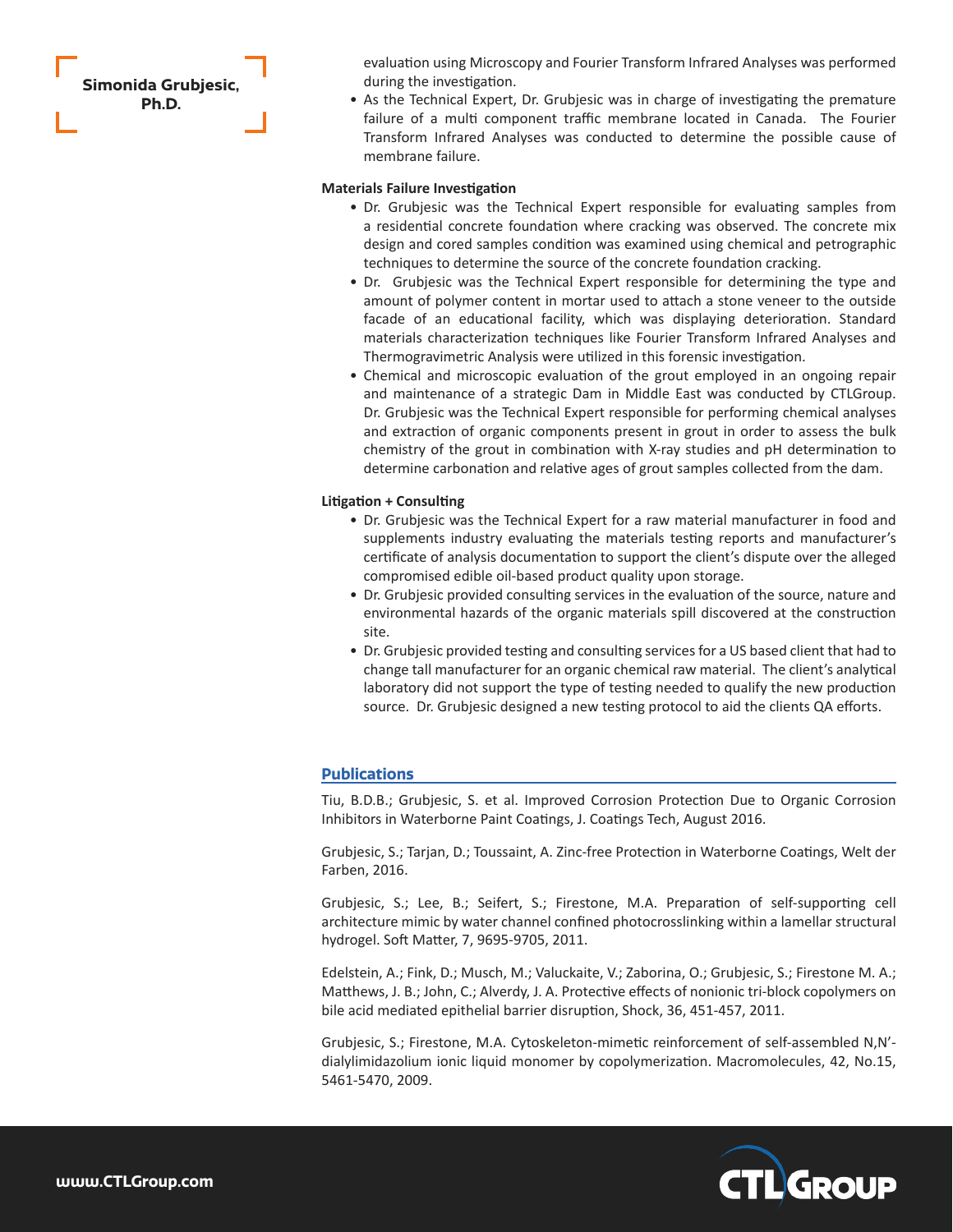**Simonida Grubjesic, Ph.D.**

evaluation using Microscopy and Fourier Transform Infrared Analyses was performed during the investigation.

• As the Technical Expert, Dr. Grubjesic was in charge of investigating the premature failure of a multi component traffic membrane located in Canada. The Fourier Transform Infrared Analyses was conducted to determine the possible cause of membrane failure.

#### **Materials Failure Investigation**

- Dr. Grubjesic was the Technical Expert responsible for evaluating samples from a residential concrete foundation where cracking was observed. The concrete mix design and cored samples condition was examined using chemical and petrographic techniques to determine the source of the concrete foundation cracking.
- Dr. Grubjesic was the Technical Expert responsible for determining the type and amount of polymer content in mortar used to attach a stone veneer to the outside facade of an educational facility, which was displaying deterioration. Standard materials characterization techniques like Fourier Transform Infrared Analyses and Thermogravimetric Analysis were utilized in this forensic investigation.
- Chemical and microscopic evaluation of the grout employed in an ongoing repair and maintenance of a strategic Dam in Middle East was conducted by CTLGroup. Dr. Grubjesic was the Technical Expert responsible for performing chemical analyses and extraction of organic components present in grout in order to assess the bulk chemistry of the grout in combination with X-ray studies and pH determination to determine carbonation and relative ages of grout samples collected from the dam.

#### **Litigation + Consulting**

- Dr. Grubjesic was the Technical Expert for a raw material manufacturer in food and supplements industry evaluating the materials testing reports and manufacturer's certificate of analysis documentation to support the client's dispute over the alleged compromised edible oil-based product quality upon storage.
- Dr. Grubjesic provided consulting services in the evaluation of the source, nature and environmental hazards of the organic materials spill discovered at the construction site.
- Dr. Grubjesic provided testing and consulting services for a US based client that had to change tall manufacturer for an organic chemical raw material. The client's analytical laboratory did not support the type of testing needed to qualify the new production source. Dr. Grubjesic designed a new testing protocol to aid the clients QA efforts.

## **Publications**

Tiu, B.D.B.; Grubjesic, S. et al. Improved Corrosion Protection Due to Organic Corrosion Inhibitors in Waterborne Paint Coatings, J. Coatings Tech, August 2016.

Grubjesic, S.; Tarjan, D.; Toussaint, A. Zinc-free Protection in Waterborne Coatings, Welt der Farben, 2016.

Grubjesic, S.; Lee, B.; Seifert, S.; Firestone, M.A. Preparation of self-supporting cell architecture mimic by water channel confined photocrosslinking within a lamellar structural hydrogel. Soft Matter, 7, 9695-9705, 2011.

Edelstein, A.; Fink, D.; Musch, M.; Valuckaite, V.; Zaborina, O.; Grubjesic, S.; Firestone M. A.; Matthews, J. B.; John, C.; Alverdy, J. A. Protective effects of nonionic tri-block copolymers on bile acid mediated epithelial barrier disruption, Shock, 36, 451-457, 2011.

Grubjesic, S.; Firestone, M.A. Cytoskeleton-mimetic reinforcement of self-assembled N,N' dialylimidazolium ionic liquid monomer by copolymerization. Macromolecules, 42, No.15, 5461-5470, 2009.

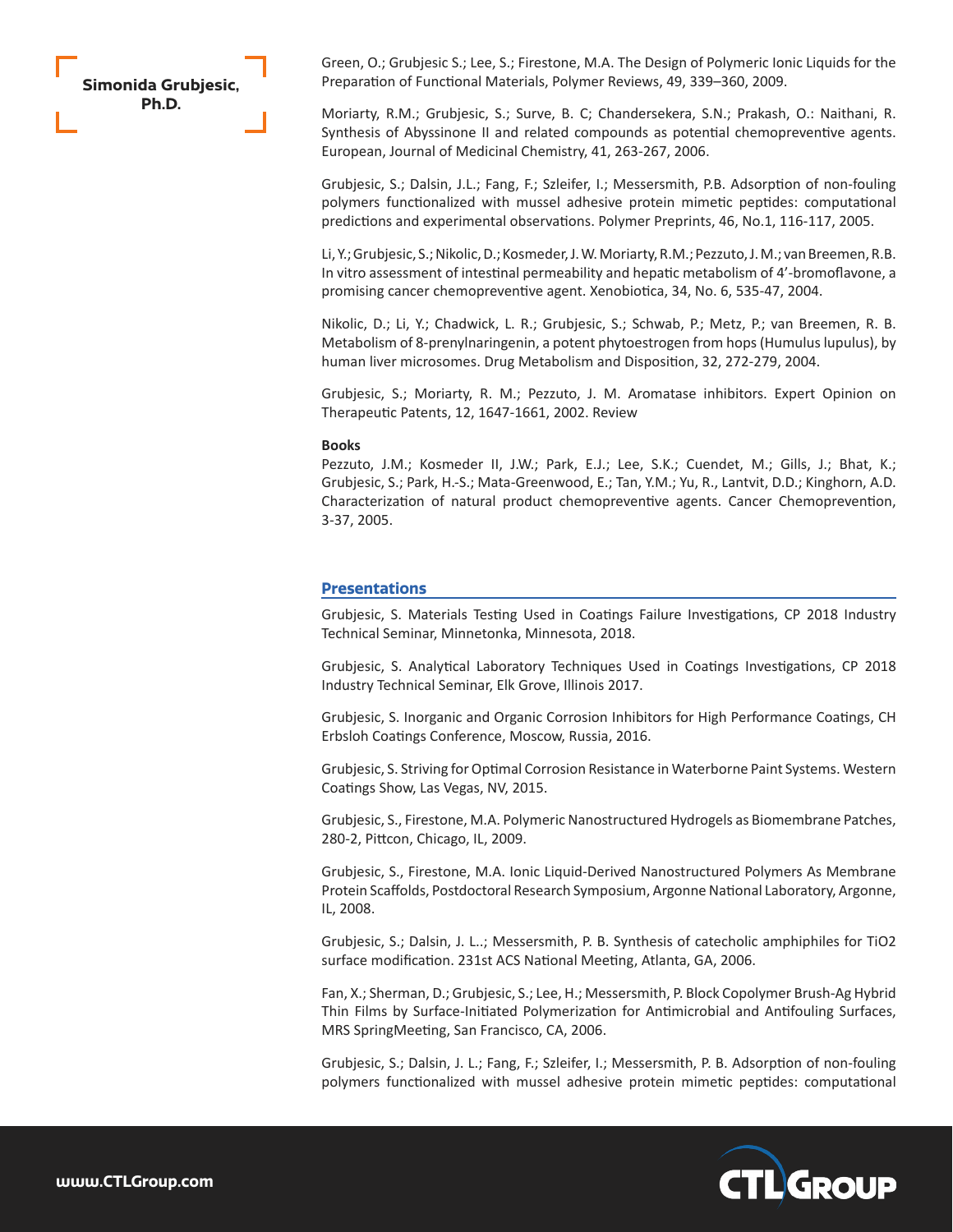# **Simonida Grubjesic, Ph.D.**

Green, O.; Grubjesic S.; Lee, S.; Firestone, M.A. The Design of Polymeric Ionic Liquids for the Preparation of Functional Materials, Polymer Reviews, 49, 339–360, 2009.

Moriarty, R.M.; Grubjesic, S.; Surve, B. C; Chandersekera, S.N.; Prakash, O.: Naithani, R. Synthesis of Abyssinone II and related compounds as potential chemopreventive agents. European, Journal of Medicinal Chemistry, 41, 263-267, 2006.

Grubjesic, S.; Dalsin, J.L.; Fang, F.; Szleifer, I.; Messersmith, P.B. Adsorption of non-fouling polymers functionalized with mussel adhesive protein mimetic peptides: computational predictions and experimental observations. Polymer Preprints, 46, No.1, 116-117, 2005.

Li, Y.; Grubjesic, S.; Nikolic, D.; Kosmeder, J. W. Moriarty, R.M.; Pezzuto, J. M.; van Breemen, R.B. In vitro assessment of intestinal permeability and hepatic metabolism of 4'-bromoflavone, a promising cancer chemopreventive agent. Xenobiotica, 34, No. 6, 535-47, 2004.

Nikolic, D.; Li, Y.; Chadwick, L. R.; Grubjesic, S.; Schwab, P.; Metz, P.; van Breemen, R. B. Metabolism of 8-prenylnaringenin, a potent phytoestrogen from hops (Humulus lupulus), by human liver microsomes. Drug Metabolism and Disposition, 32, 272-279, 2004.

Grubjesic, S.; Moriarty, R. M.; Pezzuto, J. M. Aromatase inhibitors. Expert Opinion on Therapeutic Patents, 12, 1647-1661, 2002. Review

#### **Books**

Pezzuto, J.M.; Kosmeder II, J.W.; Park, E.J.; Lee, S.K.; Cuendet, M.; Gills, J.; Bhat, K.; Grubjesic, S.; Park, H.-S.; Mata-Greenwood, E.; Tan, Y.M.; Yu, R., Lantvit, D.D.; Kinghorn, A.D. Characterization of natural product chemopreventive agents. Cancer Chemoprevention, 3-37, 2005.

## **Presentations**

Grubjesic, S. Materials Testing Used in Coatings Failure Investigations, CP 2018 Industry Technical Seminar, Minnetonka, Minnesota, 2018.

Grubjesic, S. Analytical Laboratory Techniques Used in Coatings Investigations, CP 2018 Industry Technical Seminar, Elk Grove, Illinois 2017.

Grubjesic, S. Inorganic and Organic Corrosion Inhibitors for High Performance Coatings, CH Erbsloh Coatings Conference, Moscow, Russia, 2016.

Grubjesic, S. Striving for Optimal Corrosion Resistance in Waterborne Paint Systems. Western Coatings Show, Las Vegas, NV, 2015.

Grubjesic, S., Firestone, M.A. Polymeric Nanostructured Hydrogels as Biomembrane Patches, 280-2, Pittcon, Chicago, IL, 2009.

Grubjesic, S., Firestone, M.A. Ionic Liquid-Derived Nanostructured Polymers As Membrane Protein Scaffolds, Postdoctoral Research Symposium, Argonne National Laboratory, Argonne, IL, 2008.

Grubjesic, S.; Dalsin, J. L..; Messersmith, P. B. Synthesis of catecholic amphiphiles for TiO2 surface modification. 231st ACS National Meeting, Atlanta, GA, 2006.

Fan, X.; Sherman, D.; Grubjesic, S.; Lee, H.; Messersmith, P. Block Copolymer Brush-Ag Hybrid Thin Films by Surface-Initiated Polymerization for Antimicrobial and Antifouling Surfaces, MRS SpringMeeting, San Francisco, CA, 2006.

Grubjesic, S.; Dalsin, J. L.; Fang, F.; Szleifer, I.; Messersmith, P. B. Adsorption of non-fouling polymers functionalized with mussel adhesive protein mimetic peptides: computational